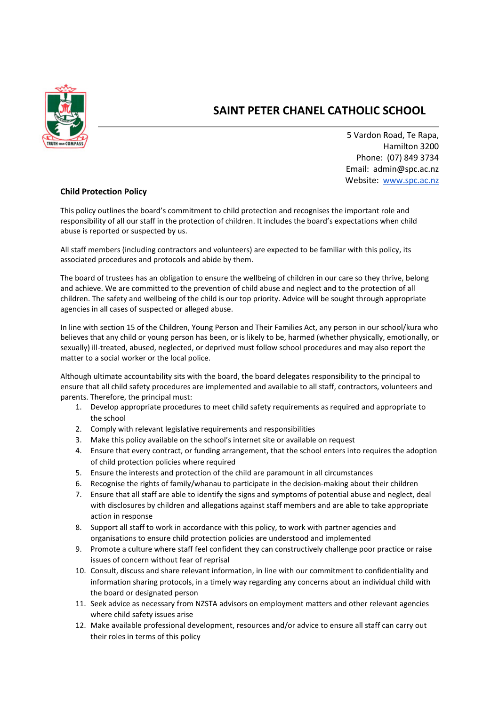

## SAINT PETER CHANEL CATHOLIC SCHOOL

5 Vardon Road, Te Rapa, Hamilton 3200 Phone: (07) 849 3734 Email: admin@spc.ac.nz Website: www.spc.ac.nz

## Child Protection Policy

This policy outlines the board's commitment to child protection and recognises the important role and responsibility of all our staff in the protection of children. It includes the board's expectations when child abuse is reported or suspected by us.

All staff members (including contractors and volunteers) are expected to be familiar with this policy, its associated procedures and protocols and abide by them.

The board of trustees has an obligation to ensure the wellbeing of children in our care so they thrive, belong and achieve. We are committed to the prevention of child abuse and neglect and to the protection of all children. The safety and wellbeing of the child is our top priority. Advice will be sought through appropriate agencies in all cases of suspected or alleged abuse.

In line with section 15 of the Children, Young Person and Their Families Act, any person in our school/kura who believes that any child or young person has been, or is likely to be, harmed (whether physically, emotionally, or sexually) ill-treated, abused, neglected, or deprived must follow school procedures and may also report the matter to a social worker or the local police.

Although ultimate accountability sits with the board, the board delegates responsibility to the principal to ensure that all child safety procedures are implemented and available to all staff, contractors, volunteers and parents. Therefore, the principal must:

- 1. Develop appropriate procedures to meet child safety requirements as required and appropriate to the school
- 2. Comply with relevant legislative requirements and responsibilities
- 3. Make this policy available on the school's internet site or available on request
- 4. Ensure that every contract, or funding arrangement, that the school enters into requires the adoption of child protection policies where required
- 5. Ensure the interests and protection of the child are paramount in all circumstances
- 6. Recognise the rights of family/whanau to participate in the decision-making about their children
- 7. Ensure that all staff are able to identify the signs and symptoms of potential abuse and neglect, deal with disclosures by children and allegations against staff members and are able to take appropriate action in response
- 8. Support all staff to work in accordance with this policy, to work with partner agencies and organisations to ensure child protection policies are understood and implemented
- 9. Promote a culture where staff feel confident they can constructively challenge poor practice or raise issues of concern without fear of reprisal
- 10. Consult, discuss and share relevant information, in line with our commitment to confidentiality and information sharing protocols, in a timely way regarding any concerns about an individual child with the board or designated person
- 11. Seek advice as necessary from NZSTA advisors on employment matters and other relevant agencies where child safety issues arise
- 12. Make available professional development, resources and/or advice to ensure all staff can carry out their roles in terms of this policy